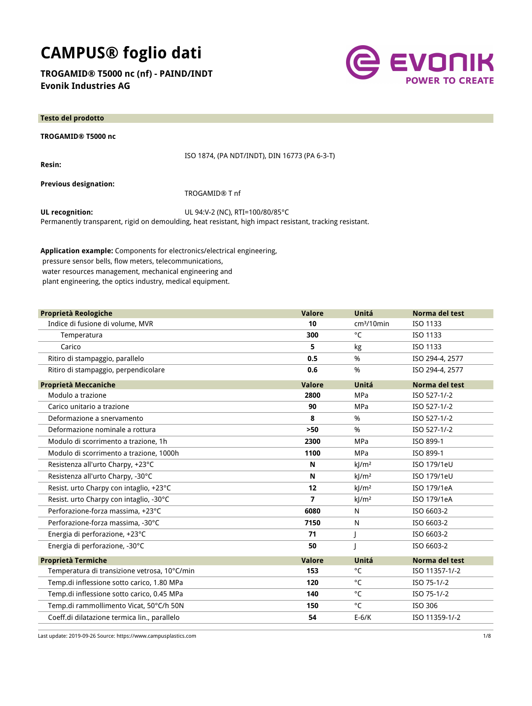# **CAMPUS® foglio dati**

**TROGAMID® T5000 nc (nf) - PAIND/INDT Evonik Industries AG**



| <b>Testo del prodotto</b>    |                                               |
|------------------------------|-----------------------------------------------|
| TROGAMID® T5000 nc           |                                               |
| <b>Resin:</b>                | ISO 1874, (PA NDT/INDT), DIN 16773 (PA 6-3-T) |
| <b>Previous designation:</b> | TROGAMID® T nf                                |
| UL recognition:              | UL 94:V-2 (NC), RTI=100/80/85°C               |

Permanently transparent, rigid on demoulding, heat resistant, high impact resistant, tracking resistant.

**Application example:** Components for electronics/electrical engineering, pressure sensor bells, flow meters, telecommunications, water resources management, mechanical engineering and plant engineering, the optics industry, medical equipment.

| Proprietà Reologiche                         | <b>Valore</b> | Unitá                | Norma del test  |
|----------------------------------------------|---------------|----------------------|-----------------|
| Indice di fusione di volume, MVR             | 10            | $cm3/10$ min         | ISO 1133        |
| Temperatura                                  | 300           | °C                   | ISO 1133        |
| Carico                                       | 5             | kg                   | ISO 1133        |
| Ritiro di stampaggio, parallelo              | 0.5           | %                    | ISO 294-4, 2577 |
| Ritiro di stampaggio, perpendicolare         | 0.6           | %                    | ISO 294-4, 2577 |
| <b>Proprietà Meccaniche</b>                  | <b>Valore</b> | Unitá                | Norma del test  |
| Modulo a trazione                            | 2800          | MPa                  | ISO 527-1/-2    |
| Carico unitario a trazione                   | 90            | MPa                  | ISO 527-1/-2    |
| Deformazione a snervamento                   | 8             | %                    | ISO 527-1/-2    |
| Deformazione nominale a rottura              | $>50$         | %                    | ISO 527-1/-2    |
| Modulo di scorrimento a trazione, 1h         | 2300          | MPa                  | ISO 899-1       |
| Modulo di scorrimento a trazione, 1000h      | 1100          | MPa                  | ISO 899-1       |
| Resistenza all'urto Charpy, +23°C            | N             | $k$  /m <sup>2</sup> | ISO 179/1eU     |
| Resistenza all'urto Charpy, -30°C            | N             | $k$ /m <sup>2</sup>  | ISO 179/1eU     |
| Resist. urto Charpy con intaglio, +23°C      | 12            | k/m <sup>2</sup>     | ISO 179/1eA     |
| Resist. urto Charpy con intaglio, -30°C      | 7             | $k$ /m <sup>2</sup>  | ISO 179/1eA     |
| Perforazione-forza massima, +23°C            | 6080          | N                    | ISO 6603-2      |
| Perforazione-forza massima, -30°C            | 7150          | $\mathsf{N}$         | ISO 6603-2      |
| Energia di perforazione, +23°C               | 71            |                      | ISO 6603-2      |
| Energia di perforazione, -30°C               | 50            |                      | ISO 6603-2      |
| <b>Proprietà Termiche</b>                    | <b>Valore</b> | Unitá                | Norma del test  |
| Temperatura di transizione vetrosa, 10°C/min | 153           | °C                   | ISO 11357-1/-2  |
| Temp.di inflessione sotto carico, 1.80 MPa   | 120           | °C                   | ISO 75-1/-2     |
| Temp.di inflessione sotto carico, 0.45 MPa   | 140           | °C                   | ISO 75-1/-2     |
| Temp.di rammollimento Vicat, 50°C/h 50N      | 150           | °C                   | ISO 306         |
| Coeff.di dilatazione termica lin., parallelo | 54            | $E-6/K$              | ISO 11359-1/-2  |

Last update: 2019-09-26 Source: https://www.campusplastics.com 1/8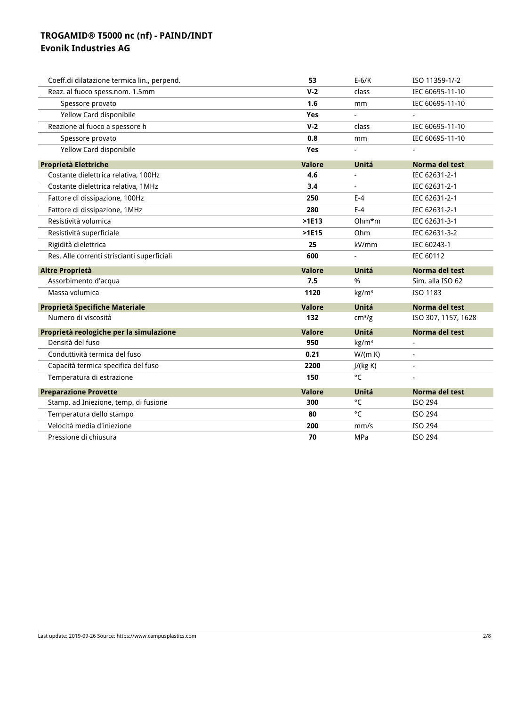| Coeff.di dilatazione termica lin., perpend. | 53            | $E-6/K$                  | ISO 11359-1/-2      |
|---------------------------------------------|---------------|--------------------------|---------------------|
| Reaz. al fuoco spess.nom. 1.5mm             | $V-2$         | class                    | IEC 60695-11-10     |
| Spessore provato                            | 1.6           | mm                       | IEC 60695-11-10     |
| Yellow Card disponibile                     | Yes           | $\overline{\phantom{a}}$ |                     |
| Reazione al fuoco a spessore h              | $V-2$         | class                    | IEC 60695-11-10     |
| Spessore provato                            | 0.8           | mm                       | IEC 60695-11-10     |
| Yellow Card disponibile                     | Yes           | $\blacksquare$           |                     |
| <b>Proprietà Elettriche</b>                 | <b>Valore</b> | Unitá                    | Norma del test      |
| Costante dielettrica relativa, 100Hz        | 4.6           | $\blacksquare$           | IEC 62631-2-1       |
| Costante dielettrica relativa, 1MHz         | 3.4           |                          | IEC 62631-2-1       |
| Fattore di dissipazione, 100Hz              | 250           | $E-4$                    | IEC 62631-2-1       |
| Fattore di dissipazione, 1MHz               | 280           | $E-4$                    | IEC 62631-2-1       |
| Resistività volumica                        | $>$ 1E13      | $Ohm*m$                  | IEC 62631-3-1       |
| Resistività superficiale                    | $>$ 1E15      | Ohm                      | IEC 62631-3-2       |
| Rigidità dielettrica                        | 25            | kV/mm                    | IEC 60243-1         |
| Res. Alle correnti striscianti superficiali | 600           |                          | IEC 60112           |
|                                             |               |                          |                     |
| Altre Proprietà                             | <b>Valore</b> | Unitá                    | Norma del test      |
| Assorbimento d'acqua                        | 7.5           | %                        | Sim. alla ISO 62    |
| Massa volumica                              | 1120          | kg/m <sup>3</sup>        | ISO 1183            |
| Proprietà Specifiche Materiale              | <b>Valore</b> | Unitá                    | Norma del test      |
| Numero di viscosità                         | 132           | cm <sup>3</sup> /g       | ISO 307, 1157, 1628 |
| Proprietà reologiche per la simulazione     | <b>Valore</b> | Unitá                    | Norma del test      |
| Densità del fuso                            | 950           | kg/m <sup>3</sup>        |                     |
| Conduttività termica del fuso               | 0.21          | W/(m K)                  |                     |
| Capacità termica specifica del fuso         | 2200          | J/(kg K)                 | $\blacksquare$      |
| Temperatura di estrazione                   | 150           | $^{\circ}$ C             |                     |
| <b>Preparazione Provette</b>                | <b>Valore</b> | Unitá                    | Norma del test      |
| Stamp. ad Iniezione, temp. di fusione       | 300           | °C                       | ISO 294             |
| Temperatura dello stampo                    | 80            | °C                       | ISO 294             |
| Velocità media d'iniezione                  | 200           | mm/s                     | ISO 294             |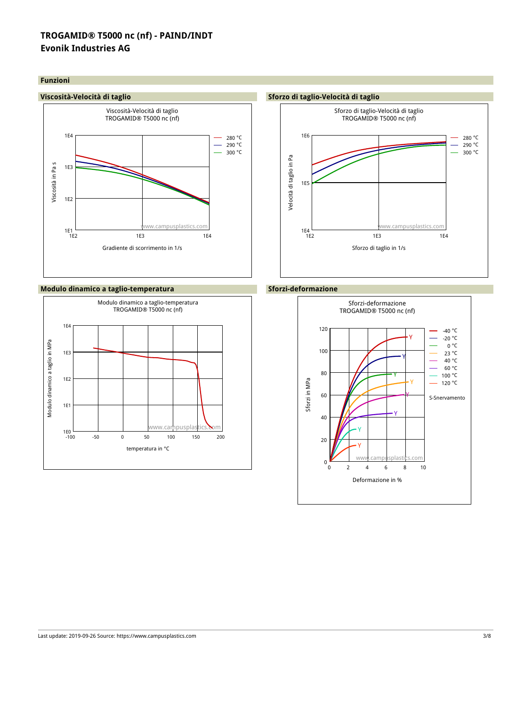#### **Funzioni**



### **Modulo dinamico a taglio-temperatura Sforzi-deformazione**





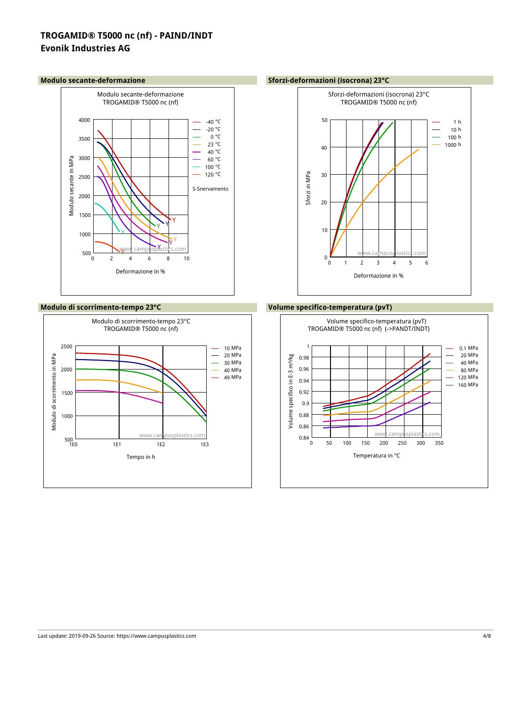

#### **Modulo di scorrimento-tempo 23°C Volume specifico-temperatura (pvT)**



#### **Modulo secante-deformazione Sforzi-deformazioni (isocrona) 23°C**



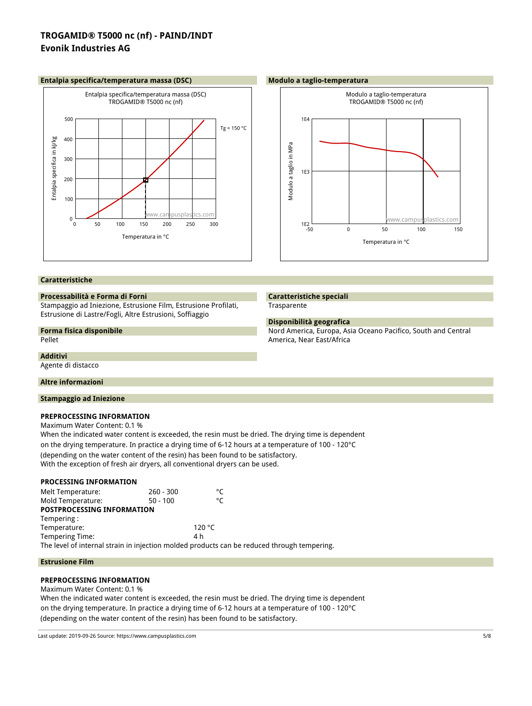#### **Entalpia specifica/temperatura massa (DSC) Modulo a taglio-temperatura**





#### **Caratteristiche**

#### **Processabilità e Forma di Forni**

Stampaggio ad Iniezione, Estrusione Film, Estrusione Profilati, Estrusione di Lastre/Fogli, Altre Estrusioni, Soffiaggio

# **Forma fisica disponibile**

Pellet

#### **Additivi**

Agente di distacco

#### **Altre informazioni**

#### **Stampaggio ad Iniezione**

### **PREPROCESSING INFORMATION**

Maximum Water Content: 0.1 %

When the indicated water content is exceeded, the resin must be dried. The drying time is dependent on the drying temperature. In practice a drying time of 6-12 hours at a temperature of 100 - 120°C

(depending on the water content of the resin) has been found to be satisfactory.

With the exception of fresh air dryers, all conventional dryers can be used.

#### **PROCESSING INFORMATION**

Melt Temperature:  $260 - 300$  <sup>o</sup>C<br>Mold Temperature: 50 - 100 Mold Temperature: 50 - 100 **POSTPROCESSING INFORMATION** Tempering : Temperature: 120 °C Tempering Time: 4 h The level of internal strain in injection molded products can be reduced through tempering.

#### **Estrusione Film**

### **PREPROCESSING INFORMATION**

Maximum Water Content: 0.1 %

When the indicated water content is exceeded, the resin must be dried. The drying time is dependent on the drying temperature. In practice a drying time of 6-12 hours at a temperature of 100 - 120°C (depending on the water content of the resin) has been found to be satisfactory.

Last update: 2019-09-26 Source: https://www.campusplastics.com 5/8

### **Caratteristiche speciali Trasparente**

#### **Disponibilità geografica**

Nord America, Europa, Asia Oceano Pacifico, South and Central America, Near East/Africa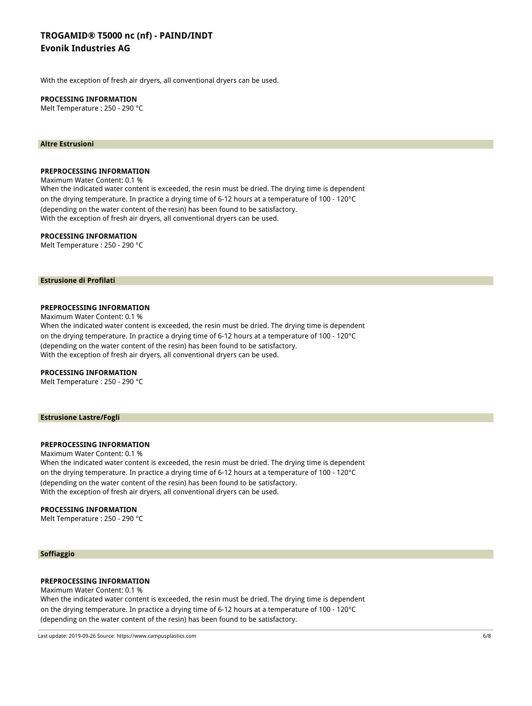With the exception of fresh air dryers, all conventional dryers can be used.

#### **PROCESSING INFORMATION**

Melt Temperature : 250 - 290 °C

#### **Altre Estrusioni**

#### **PREPROCESSING INFORMATION**

Maximum Water Content: 0.1 % When the indicated water content is exceeded, the resin must be dried. The drying time is dependent on the drying temperature. In practice a drying time of 6-12 hours at a temperature of 100 - 120°C (depending on the water content of the resin) has been found to be satisfactory. With the exception of fresh air dryers, all conventional dryers can be used.

#### **PROCESSING INFORMATION**

Melt Temperature : 250 - 290 °C

#### **Estrusione di Profilati**

#### **PREPROCESSING INFORMATION**

Maximum Water Content: 0.1 %

When the indicated water content is exceeded, the resin must be dried. The drying time is dependent on the drying temperature. In practice a drying time of 6-12 hours at a temperature of 100 - 120°C (depending on the water content of the resin) has been found to be satisfactory. With the exception of fresh air dryers, all conventional dryers can be used.

#### **PROCESSING INFORMATION**

Melt Temperature : 250 - 290 °C

#### **Estrusione Lastre/Fogli**

#### **PREPROCESSING INFORMATION**

Maximum Water Content: 0.1 % When the indicated water content is exceeded, the resin must be dried. The drying time is dependent on the drying temperature. In practice a drying time of 6-12 hours at a temperature of 100 - 120°C (depending on the water content of the resin) has been found to be satisfactory. With the exception of fresh air dryers, all conventional dryers can be used.

#### **PROCESSING INFORMATION**

Melt Temperature : 250 - 290 °C

#### **Soffiaggio**

#### **PREPROCESSING INFORMATION**

Maximum Water Content: 0.1 % When the indicated water content is exceeded, the resin must be dried. The drying time is dependent on the drying temperature. In practice a drying time of 6-12 hours at a temperature of 100 - 120°C (depending on the water content of the resin) has been found to be satisfactory.

Last update: 2019-09-26 Source: https://www.campusplastics.com 6/8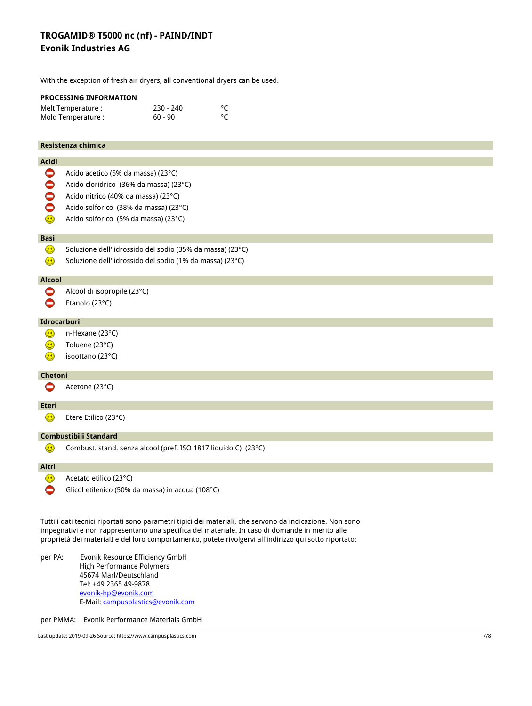With the exception of fresh air dryers, all conventional dryers can be used.

|                    | PROCESSING INFORMATION                                         |           |                                                                                                          |  |
|--------------------|----------------------------------------------------------------|-----------|----------------------------------------------------------------------------------------------------------|--|
|                    | Melt Temperature :                                             | 230 - 240 | $^{\circ}C$                                                                                              |  |
|                    | Mold Temperature :                                             | $60 - 90$ | °C                                                                                                       |  |
|                    |                                                                |           |                                                                                                          |  |
|                    | Resistenza chimica                                             |           |                                                                                                          |  |
|                    |                                                                |           |                                                                                                          |  |
| <b>Acidi</b>       |                                                                |           |                                                                                                          |  |
| $\bullet$          | Acido acetico (5% da massa) (23°C)                             |           |                                                                                                          |  |
| $\bullet$          | Acido cloridrico (36% da massa) (23°C)                         |           |                                                                                                          |  |
| $\bullet$          | Acido nitrico (40% da massa) (23°C)                            |           |                                                                                                          |  |
| $\bullet$          | Acido solforico (38% da massa) (23°C)                          |           |                                                                                                          |  |
| ۵                  | Acido solforico (5% da massa) (23°C)                           |           |                                                                                                          |  |
|                    |                                                                |           |                                                                                                          |  |
| <b>Basi</b>        |                                                                |           |                                                                                                          |  |
| ۵                  | Soluzione dell' idrossido del sodio (35% da massa) (23°C)      |           |                                                                                                          |  |
| ۳                  | Soluzione dell' idrossido del sodio (1% da massa) (23°C)       |           |                                                                                                          |  |
| <b>Alcool</b>      |                                                                |           |                                                                                                          |  |
| 0                  | Alcool di isopropile (23°C)                                    |           |                                                                                                          |  |
|                    |                                                                |           |                                                                                                          |  |
| 0                  | Etanolo (23°C)                                                 |           |                                                                                                          |  |
| Idrocarburi        |                                                                |           |                                                                                                          |  |
| ⊕                  | n-Hexane (23°C)                                                |           |                                                                                                          |  |
| ۳                  | Toluene (23°C)                                                 |           |                                                                                                          |  |
| $\bigcirc$         | isoottano (23°C)                                               |           |                                                                                                          |  |
|                    |                                                                |           |                                                                                                          |  |
| Chetoni            |                                                                |           |                                                                                                          |  |
| 0                  | Acetone (23°C)                                                 |           |                                                                                                          |  |
|                    |                                                                |           |                                                                                                          |  |
| <b>Eteri</b>       |                                                                |           |                                                                                                          |  |
| ☺                  | Etere Etilico (23°C)                                           |           |                                                                                                          |  |
|                    | <b>Combustibili Standard</b>                                   |           |                                                                                                          |  |
| $\mathbf \epsilon$ | Combust. stand. senza alcool (pref. ISO 1817 liquido C) (23°C) |           |                                                                                                          |  |
|                    |                                                                |           |                                                                                                          |  |
| Altri              |                                                                |           |                                                                                                          |  |
| ⊕                  | Acetato etilico (23°C)                                         |           |                                                                                                          |  |
| ●                  | Glicol etilenico (50% da massa) in acqua (108°C)               |           |                                                                                                          |  |
|                    |                                                                |           |                                                                                                          |  |
|                    |                                                                |           |                                                                                                          |  |
|                    |                                                                |           | Tutti i dati tecnici riportati sono parametri tipici dei materiali, che servono da indicazione. Non sono |  |

Tutti i dati tecnici riportati sono parametri tipici dei materiali, che servono da indicazione. Non sono impegnativi e non rappresentano una specifica del materiale. In caso di domande in merito alle proprietà dei materialI e del loro comportamento, potete rivolgervi all'indirizzo qui sotto riportato:

per PA: Evonik Resource Efficiency GmbH High Performance Polymers 45674 Marl/Deutschland Tel: +49 2365 49-9878 evonik-hp@evonik.com E-Mail: campusplastics@evonik.com

per PMMA: Evonik Performance Materials GmbH